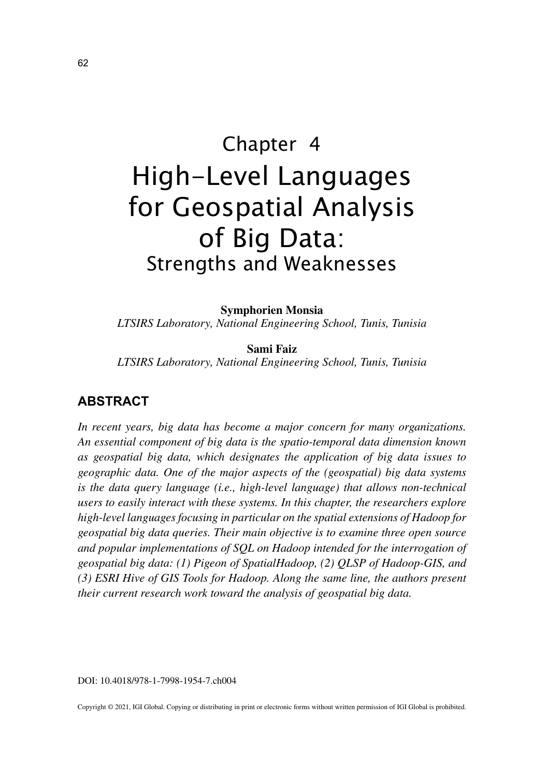# Chapter 4 High-Level Languages for Geospatial Analysis of Big Data: Strengths and Weaknesses

**Symphorien Monsia**

*LTSIRS Laboratory, National Engineering School, Tunis, Tunisia*

**Sami Faiz** *LTSIRS Laboratory, National Engineering School, Tunis, Tunisia*

#### **ABSTRACT**

*In recent years, big data has become a major concern for many organizations. An essential component of big data is the spatio-temporal data dimension known as geospatial big data, which designates the application of big data issues to geographic data. One of the major aspects of the (geospatial) big data systems is the data query language (i.e., high-level language) that allows non-technical users to easily interact with these systems. In this chapter, the researchers explore high-level languages focusing in particular on the spatial extensions of Hadoop for geospatial big data queries. Their main objective is to examine three open source and popular implementations of SQL on Hadoop intended for the interrogation of geospatial big data: (1) Pigeon of SpatialHadoop, (2) QLSP of Hadoop-GIS, and (3) ESRI Hive of GIS Tools for Hadoop. Along the same line, the authors present their current research work toward the analysis of geospatial big data.*

DOI: 10.4018/978-1-7998-1954-7.ch004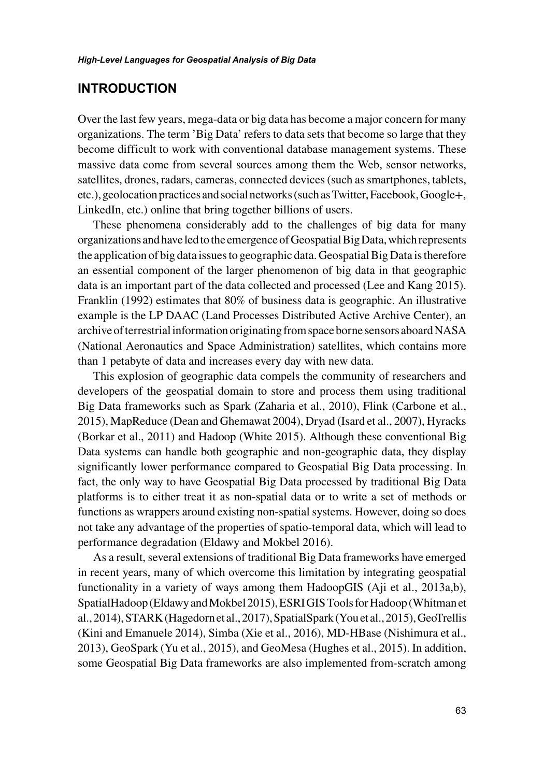#### **INTRODUCTION**

Over the last few years, mega-data or big data has become a major concern for many organizations. The term 'Big Data' refers to data sets that become so large that they become difficult to work with conventional database management systems. These massive data come from several sources among them the Web, sensor networks, satellites, drones, radars, cameras, connected devices (such as smartphones, tablets, etc.), geolocation practices and social networks (such as Twitter, Facebook, Google+, LinkedIn, etc.) online that bring together billions of users.

These phenomena considerably add to the challenges of big data for many organizations and have led to the emergence of Geospatial Big Data, which represents the application of big data issues to geographic data. Geospatial Big Data is therefore an essential component of the larger phenomenon of big data in that geographic data is an important part of the data collected and processed (Lee and Kang 2015). Franklin (1992) estimates that 80% of business data is geographic. An illustrative example is the LP DAAC (Land Processes Distributed Active Archive Center), an archive of terrestrial information originating from space borne sensors aboard NASA (National Aeronautics and Space Administration) satellites, which contains more than 1 petabyte of data and increases every day with new data.

This explosion of geographic data compels the community of researchers and developers of the geospatial domain to store and process them using traditional Big Data frameworks such as Spark (Zaharia et al., 2010), Flink (Carbone et al., 2015), MapReduce (Dean and Ghemawat 2004), Dryad (Isard et al., 2007), Hyracks (Borkar et al., 2011) and Hadoop (White 2015). Although these conventional Big Data systems can handle both geographic and non-geographic data, they display significantly lower performance compared to Geospatial Big Data processing. In fact, the only way to have Geospatial Big Data processed by traditional Big Data platforms is to either treat it as non-spatial data or to write a set of methods or functions as wrappers around existing non-spatial systems. However, doing so does not take any advantage of the properties of spatio-temporal data, which will lead to performance degradation (Eldawy and Mokbel 2016).

As a result, several extensions of traditional Big Data frameworks have emerged in recent years, many of which overcome this limitation by integrating geospatial functionality in a variety of ways among them HadoopGIS (Aji et al., 2013a,b), SpatialHadoop (Eldawy and Mokbel 2015), ESRI GIS Tools for Hadoop (Whitman et al., 2014), STARK (Hagedorn et al., 2017), SpatialSpark (You et al., 2015), GeoTrellis (Kini and Emanuele 2014), Simba (Xie et al., 2016), MD-HBase (Nishimura et al., 2013), GeoSpark (Yu et al., 2015), and GeoMesa (Hughes et al., 2015). In addition, some Geospatial Big Data frameworks are also implemented from-scratch among